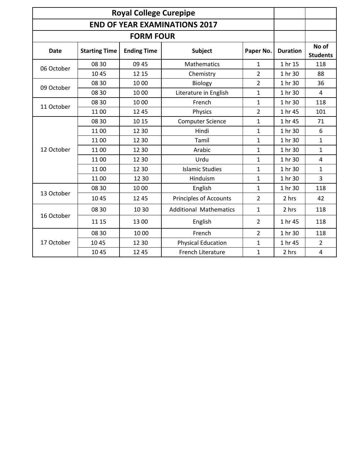| <b>Royal College Curepipe</b> |                      |                    |                               |                |                 |                          |
|-------------------------------|----------------------|--------------------|-------------------------------|----------------|-----------------|--------------------------|
|                               |                      |                    |                               |                |                 |                          |
|                               |                      |                    |                               |                |                 |                          |
| <b>Date</b>                   | <b>Starting Time</b> | <b>Ending Time</b> | <b>Subject</b>                | Paper No.      | <b>Duration</b> | No of<br><b>Students</b> |
| 06 October                    | 08 30                | 09 45              | Mathematics                   | $\mathbf 1$    | 1 hr 15         | 118                      |
|                               | 1045                 | 12 15              | Chemistry                     | $\overline{2}$ | 1 hr 30         | 88                       |
| 09 October                    | 08 30                | 1000               | <b>Biology</b>                | $\overline{2}$ | 1 hr 30         | 36                       |
|                               | 08 30                | 1000               | Literature in English         | $\mathbf 1$    | 1 hr 30         | $\overline{4}$           |
| 11 October                    | 08 30                | 1000               | French                        | $\mathbf{1}$   | 1 hr 30         | 118                      |
|                               | 1100                 | 12 45              | Physics                       | $\overline{2}$ | 1 hr 45         | 101                      |
| 12 October                    | 08 30                | 10 15              | <b>Computer Science</b>       | $\mathbf{1}$   | 1 hr 45         | 71                       |
|                               | 1100                 | 12 30              | Hindi                         | $\mathbf{1}$   | 1 hr 30         | 6                        |
|                               | 1100                 | 12 30              | Tamil                         | $\mathbf 1$    | 1 hr 30         | $\mathbf{1}$             |
|                               | 1100                 | 12 30              | Arabic                        | $\mathbf{1}$   | 1 hr 30         | $\mathbf{1}$             |
|                               | 1100                 | 12 30              | Urdu                          | $\mathbf{1}$   | 1 hr 30         | $\overline{4}$           |
|                               | 1100                 | 12 30              | <b>Islamic Studies</b>        | $\mathbf{1}$   | 1 hr 30         | $\mathbf{1}$             |
|                               | 1100                 | 12 30              | Hinduism                      | $\mathbf{1}$   | 1 hr 30         | 3                        |
| 13 October                    | 08 30                | 10 00              | English                       | $\mathbf{1}$   | 1 hr 30         | 118                      |
|                               | 1045                 | 12 45              | <b>Principles of Accounts</b> | $\overline{2}$ | 2 hrs           | 42                       |
| 16 October                    | 08 30                | 10 30              | <b>Additional Mathematics</b> | $\mathbf{1}$   | 2 hrs           | 118                      |
|                               | 11 15                | 1300               | English                       | $\overline{2}$ | 1 hr 45         | 118                      |
| 17 October                    | 08 30                | 10 00              | French                        | $\overline{2}$ | 1 hr 30         | 118                      |
|                               | 10 45                | 12 30              | <b>Physical Education</b>     | $\mathbf{1}$   | 1 hr 45         | $\overline{2}$           |
|                               | 1045                 | 12 45              | <b>French Literature</b>      | $\mathbf{1}$   | 2 hrs           | $\overline{\mathbf{4}}$  |